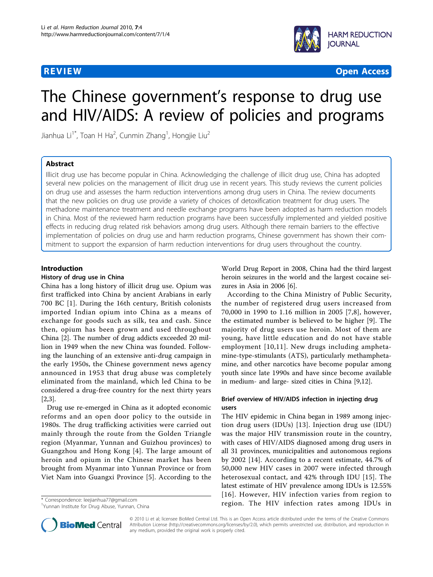

**REVIEW CONTROL** CONTROL CONTROL CONTROL CONTROL CONTROL CONTROL CONTROL CONTROL CONTROL CONTROL CONTROL CONTROL CONTROL CONTROL CONTROL CONTROL CONTROL CONTROL CONTROL CONTROL CONTROL CONTROL CONTROL CONTROL CONTROL CONTR

# The Chinese government's response to drug use and HIV/AIDS: A review of policies and programs

Jianhua Li $^{\dagger *}$ , Toan H Ha<sup>2</sup>, Cunmin Zhang<sup>1</sup>, Hongjie Liu<sup>2</sup>

# Abstract

Illicit drug use has become popular in China. Acknowledging the challenge of illicit drug use, China has adopted several new policies on the management of illicit drug use in recent years. This study reviews the current policies on drug use and assesses the harm reduction interventions among drug users in China. The review documents that the new policies on drug use provide a variety of choices of detoxification treatment for drug users. The methadone maintenance treatment and needle exchange programs have been adopted as harm reduction models in China. Most of the reviewed harm reduction programs have been successfully implemented and yielded positive effects in reducing drug related risk behaviors among drug users. Although there remain barriers to the effective implementation of policies on drug use and harm reduction programs, Chinese government has shown their commitment to support the expansion of harm reduction interventions for drug users throughout the country.

### Introduction

#### History of drug use in China

China has a long history of illicit drug use. Opium was first trafficked into China by ancient Arabians in early 700 BC [\[1](#page-4-0)]. During the 16th century, British colonists imported Indian opium into China as a means of exchange for goods such as silk, tea and cash. Since then, opium has been grown and used throughout China [\[2](#page-4-0)]. The number of drug addicts exceeded 20 million in 1949 when the new China was founded. Following the launching of an extensive anti-drug campaign in the early 1950s, the Chinese government news agency announced in 1953 that drug abuse was completely eliminated from the mainland, which led China to be considered a drug-free country for the next thirty years [[2,3\]](#page-4-0).

Drug use re-emerged in China as it adopted economic reforms and an open door policy to the outside in 1980s. The drug trafficking activities were carried out mainly through the route from the Golden Triangle region (Myanmar, Yunnan and Guizhou provinces) to Guangzhou and Hong Kong [[4](#page-4-0)]. The large amount of heroin and opium in the Chinese market has been brought from Myanmar into Yunnan Province or from Viet Nam into Guangxi Province [[5](#page-4-0)]. According to the

<sup>1</sup>Yunnan Institute for Drug Abuse, Yunnan, China

World Drug Report in 2008, China had the third largest heroin seizures in the world and the largest cocaine seizures in Asia in 2006 [\[6](#page-4-0)].

According to the China Ministry of Public Security, the number of registered drug users increased from 70,000 in 1990 to 1.16 million in 2005 [[7,8](#page-4-0)], however, the estimated number is believed to be higher [[9](#page-4-0)]. The majority of drug users use heroin. Most of them are young, have little education and do not have stable employment [[10](#page-4-0),[11](#page-4-0)]. New drugs including amphetamine-type-stimulants (ATS), particularly methamphetamine, and other narcotics have become popular among youth since late 1990s and have since become available in medium- and large- sized cities in China [\[9,12\]](#page-4-0).

# Brief overview of HIV/AIDS infection in injecting drug users

The HIV epidemic in China began in 1989 among injection drug users (IDUs) [[13](#page-4-0)]. Injection drug use (IDU) was the major HIV transmission route in the country, with cases of HIV/AIDS diagnosed among drug users in all 31 provinces, municipalities and autonomous regions by 2002 [[14](#page-4-0)]. According to a recent estimate, 44.7% of 50,000 new HIV cases in 2007 were infected through heterosexual contact, and 42% through IDU [\[15\]](#page-4-0). The latest estimate of HIV prevalence among IDUs is 12.55% [[16](#page-4-0)]. However, HIV infection varies from region to \* Correspondence: [leejianhua77@gmail.com](mailto:leejianhua77@gmail.com)<br>
<sup>1</sup>Vunnan letitute for Drug Abuse Yunnan China



© 2010 Li et al; licensee BioMed Central Ltd. This is an Open Access article distributed under the terms of the Creative Commons Attribution License [\(http://creativecommons.org/licenses/by/2.0](http://creativecommons.org/licenses/by/2.0)), which permits unrestricted use, distribution, and reproduction in any medium, provided the original work is properly cited.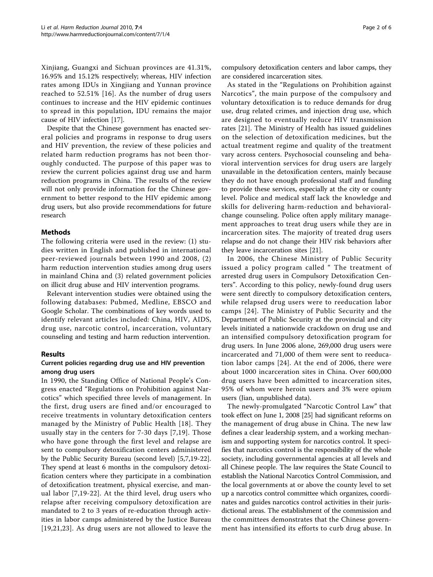Xinjiang, Guangxi and Sichuan provinces are 41.31%, 16.95% and 15.12% respectively; whereas, HIV infection rates among IDUs in Xingjiang and Yunnan province reached to 52.51% [[16](#page-4-0)]. As the number of drug users continues to increase and the HIV epidemic continues to spread in this population, IDU remains the major cause of HIV infection [\[17\]](#page-4-0).

Despite that the Chinese government has enacted several policies and programs in response to drug users and HIV prevention, the review of these policies and related harm reduction programs has not been thoroughly conducted. The purpose of this paper was to review the current policies against drug use and harm reduction programs in China. The results of the review will not only provide information for the Chinese government to better respond to the HIV epidemic among drug users, but also provide recommendations for future research

# Methods

The following criteria were used in the review: (1) studies written in English and published in international peer-reviewed journals between 1990 and 2008, (2) harm reduction intervention studies among drug users in mainland China and (3) related government policies on illicit drug abuse and HIV intervention programs.

Relevant intervention studies were obtained using the following databases: Pubmed, Medline, EBSCO and Google Scholar. The combinations of key words used to identify relevant articles included: China, HIV, AIDS, drug use, narcotic control, incarceration, voluntary counseling and testing and harm reduction intervention.

# Results

# Current policies regarding drug use and HIV prevention among drug users

In 1990, the Standing Office of National People's Congress enacted "Regulations on Prohibition against Narcotics" which specified three levels of management. In the first, drug users are fined and/or encouraged to receive treatments in voluntary detoxification centers managed by the Ministry of Public Health [[18\]](#page-4-0). They usually stay in the centers for 7-30 days [[7,19](#page-4-0)]. Those who have gone through the first level and relapse are sent to compulsory detoxification centers administered by the Public Security Bureau (second level) [[5](#page-4-0),[7,19-22](#page-4-0)]. They spend at least 6 months in the compulsory detoxification centers where they participate in a combination of detoxification treatment, physical exercise, and manual labor [[7,19-22\]](#page-4-0). At the third level, drug users who relapse after receiving compulsory detoxification are mandated to 2 to 3 years of re-education through activities in labor camps administered by the Justice Bureau [[19](#page-4-0),[21,23\]](#page-4-0). As drug users are not allowed to leave the compulsory detoxification centers and labor camps, they are considered incarceration sites.

As stated in the "Regulations on Prohibition against Narcotics", the main purpose of the compulsory and voluntary detoxification is to reduce demands for drug use, drug related crimes, and injection drug use, which are designed to eventually reduce HIV transmission rates [\[21](#page-4-0)]. The Ministry of Health has issued guidelines on the selection of detoxification medicines, but the actual treatment regime and quality of the treatment vary across centers. Psychosocial counseling and behavioral intervention services for drug users are largely unavailable in the detoxification centers, mainly because they do not have enough professional staff and funding to provide these services, especially at the city or county level. Police and medical staff lack the knowledge and skills for delivering harm-reduction and behavioralchange counseling. Police often apply military management approaches to treat drug users while they are in incarceration sites. The majority of treated drug users relapse and do not change their HIV risk behaviors after they leave incarceration sites [\[21\]](#page-4-0).

In 2006, the Chinese Ministry of Public Security issued a policy program called " The treatment of arrested drug users in Compulsory Detoxification Centers". According to this policy, newly-found drug users were sent directly to compulsory detoxification centers, while relapsed drug users were to reeducation labor camps [[24](#page-4-0)]. The Ministry of Public Security and the Department of Public Security at the provincial and city levels initiated a nationwide crackdown on drug use and an intensified compulsory detoxification program for drug users. In June 2006 alone, 269,000 drug users were incarcerated and 71,000 of them were sent to reeducation labor camps [[24](#page-4-0)]. At the end of 2006, there were about 1000 incarceration sites in China. Over 600,000 drug users have been admitted to incarceration sites, 95% of whom were heroin users and 3% were opium users (Jian, unpublished data).

The newly-promulgated "Narcotic Control Law" that took effect on June 1, 2008 [\[25\]](#page-4-0) had significant reforms on the management of drug abuse in China. The new law defines a clear leadership system, and a working mechanism and supporting system for narcotics control. It specifies that narcotics control is the responsibility of the whole society, including governmental agencies at all levels and all Chinese people. The law requires the State Council to establish the National Narcotics Control Commission, and the local governments at or above the county level to set up a narcotics control committee which organizes, coordinates and guides narcotics control activities in their jurisdictional areas. The establishment of the commission and the committees demonstrates that the Chinese government has intensified its efforts to curb drug abuse. In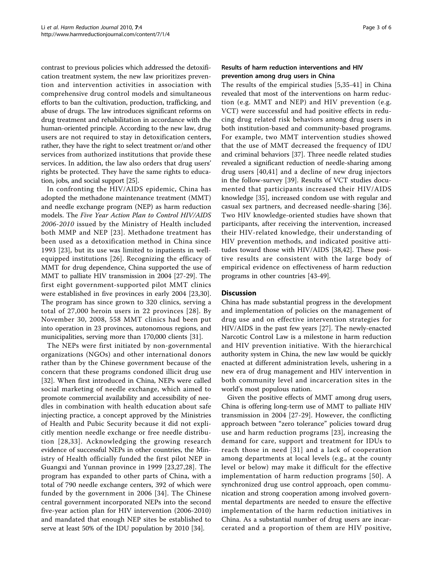contrast to previous policies which addressed the detoxification treatment system, the new law prioritizes prevention and intervention activities in association with comprehensive drug control models and simultaneous efforts to ban the cultivation, production, trafficking, and abuse of drugs. The law introduces significant reforms on drug treatment and rehabilitation in accordance with the human-oriented principle. According to the new law, drug users are not required to stay in detoxification centers, rather, they have the right to select treatment or/and other services from authorized institutions that provide these services. In addition, the law also orders that drug users' rights be protected. They have the same rights to education, jobs, and social support [[25](#page-4-0)].

In confronting the HIV/AIDS epidemic, China has adopted the methadone maintenance treatment (MMT) and needle exchange program (NEP) as harm reduction models. The Five Year Action Plan to Control HIV/AIDS 2006-2010 issued by the Ministry of Health included both MMP and NEP [[23](#page-4-0)]. Methadone treatment has been used as a detoxification method in China since 1993 [\[23](#page-4-0)], but its use was limited to inpatients in wellequipped institutions [[26](#page-4-0)]. Recognizing the efficacy of MMT for drug dependence, China supported the use of MMT to palliate HIV transmission in 2004 [\[27](#page-4-0)-[29\]](#page-4-0). The first eight government-supported pilot MMT clinics were established in five provinces in early 2004 [[23,30](#page-4-0)]. The program has since grown to 320 clinics, serving a total of 27,000 heroin users in 22 provinces [[28](#page-4-0)]. By November 30, 2008, 558 MMT clinics had been put into operation in 23 provinces, autonomous regions, and municipalities, serving more than 170,000 clients [\[31\]](#page-4-0).

The NEPs were first initiated by non-governmental organizations (NGOs) and other international donors rather than by the Chinese government because of the concern that these programs condoned illicit drug use [[32\]](#page-4-0). When first introduced in China, NEPs were called social marketing of needle exchange, which aimed to promote commercial availability and accessibility of needles in combination with health education about safe injecting practice, a concept approved by the Ministries of Health and Pubic Security because it did not explicitly mention needle exchange or free needle distribution [[28](#page-4-0),[33](#page-4-0)]. Acknowledging the growing research evidence of successful NEPs in other countries, the Ministry of Health officially funded the first pilot NEP in Guangxi and Yunnan province in 1999 [[23,27](#page-4-0),[28\]](#page-4-0). The program has expanded to other parts of China, with a total of 790 needle exchange centers, 392 of which were funded by the government in 2006 [[34](#page-4-0)]. The Chinese central government incorporated NEPs into the second five-year action plan for HIV intervention (2006-2010) and mandated that enough NEP sites be established to serve at least 50% of the IDU population by 2010 [\[34](#page-4-0)].

### Results of harm reduction interventions and HIV prevention among drug users in China

The results of the empirical studies [[5,35](#page-4-0)-[41](#page-5-0)] in China revealed that most of the interventions on harm reduction (e.g. MMT and NEP) and HIV prevention (e.g. VCT) were successful and had positive effects in reducing drug related risk behaviors among drug users in both institution-based and community-based programs. For example, two MMT intervention studies showed that the use of MMT decreased the frequency of IDU and criminal behaviors [[37](#page-5-0)]. Three needle related studies revealed a significant reduction of needle-sharing among drug users [\[40,41](#page-5-0)] and a decline of new drug injectors in the follow-survey [\[39](#page-5-0)]. Results of VCT studies documented that participants increased their HIV/AIDS knowledge [\[35](#page-4-0)], increased condom use with regular and casual sex partners, and decreased needle-sharing [[36](#page-4-0)]. Two HIV knowledge-oriented studies have shown that participants, after receiving the intervention, increased their HIV-related knowledge, their understanding of HIV prevention methods, and indicated positive attitudes toward those with HIV/AIDS [\[38](#page-5-0),[42](#page-5-0)]. These positive results are consistent with the large body of empirical evidence on effectiveness of harm reduction programs in other countries [[43](#page-5-0)-[49\]](#page-5-0).

### Discussion

China has made substantial progress in the development and implementation of policies on the management of drug use and on effective intervention strategies for HIV/AIDS in the past few years [[27](#page-4-0)]. The newly-enacted Narcotic Control Law is a milestone in harm reduction and HIV prevention initiative. With the hierarchical authority system in China, the new law would be quickly enacted at different administration levels, ushering in a new era of drug management and HIV intervention in both community level and incarceration sites in the world's most populous nation.

Given the positive effects of MMT among drug users, China is offering long-term use of MMT to palliate HIV transmission in 2004 [[27-29\]](#page-4-0). However, the conflicting approach between "zero tolerance" policies toward drug use and harm reduction programs [[23](#page-4-0)], increasing the demand for care, support and treatment for IDUs to reach those in need [[31\]](#page-4-0) and a lack of cooperation among departments at local levels (e.g., at the county level or below) may make it difficult for the effective implementation of harm reduction programs [\[50\]](#page-5-0). A synchronized drug use control approach, open communication and strong cooperation among involved governmental departments are needed to ensure the effective implementation of the harm reduction initiatives in China. As a substantial number of drug users are incarcerated and a proportion of them are HIV positive,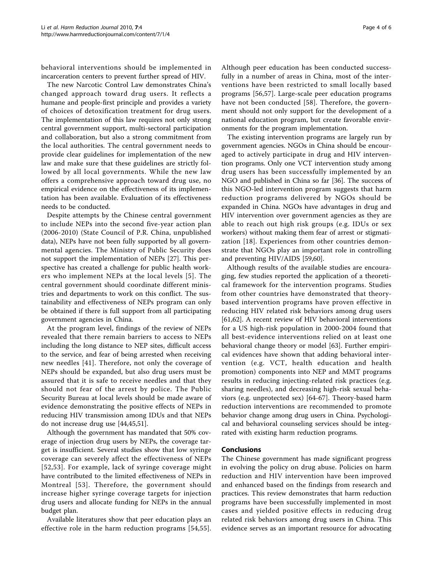behavioral interventions should be implemented in incarceration centers to prevent further spread of HIV.

The new Narcotic Control Law demonstrates China's changed approach toward drug users. It reflects a humane and people-first principle and provides a variety of choices of detoxification treatment for drug users. The implementation of this law requires not only strong central government support, multi-sectoral participation and collaboration, but also a strong commitment from the local authorities. The central government needs to provide clear guidelines for implementation of the new law and make sure that these guidelines are strictly followed by all local governments. While the new law offers a comprehensive approach toward drug use, no empirical evidence on the effectiveness of its implementation has been available. Evaluation of its effectiveness needs to be conducted.

Despite attempts by the Chinese central government to include NEPs into the second five-year action plan (2006-2010) (State Council of P.R. China, unpublished data), NEPs have not been fully supported by all governmental agencies. The Ministry of Public Security does not support the implementation of NEPs [[27](#page-4-0)]. This perspective has created a challenge for public health workers who implement NEPs at the local levels [[5\]](#page-4-0). The central government should coordinate different ministries and departments to work on this conflict. The sustainability and effectiveness of NEPs program can only be obtained if there is full support from all participating government agencies in China.

At the program level, findings of the review of NEPs revealed that there remain barriers to access to NEPs including the long distance to NEP sites, difficult access to the service, and fear of being arrested when receiving new needles [\[41\]](#page-5-0). Therefore, not only the coverage of NEPs should be expanded, but also drug users must be assured that it is safe to receive needles and that they should not fear of the arrest by police. The Public Security Bureau at local levels should be made aware of evidence demonstrating the positive effects of NEPs in reducing HIV transmission among IDUs and that NEPs do not increase drug use [\[44,45,51\]](#page-5-0).

Although the government has mandated that 50% coverage of injection drug users by NEPs, the coverage target is insufficient. Several studies show that low syringe coverage can severely affect the effectiveness of NEPs [[52,53\]](#page-5-0). For example, lack of syringe coverage might have contributed to the limited effectiveness of NEPs in Montreal [[53\]](#page-5-0). Therefore, the government should increase higher syringe coverage targets for injection drug users and allocate funding for NEPs in the annual budget plan.

Available literatures show that peer education plays an effective role in the harm reduction programs [\[54](#page-5-0),[55](#page-5-0)].

Although peer education has been conducted successfully in a number of areas in China, most of the interventions have been restricted to small locally based programs [[56,57](#page-5-0)]. Large-scale peer education programs have not been conducted [[58](#page-5-0)]. Therefore, the government should not only support for the development of a national education program, but create favorable environments for the program implementation.

The existing intervention programs are largely run by government agencies. NGOs in China should be encouraged to actively participate in drug and HIV intervention programs. Only one VCT intervention study among drug users has been successfully implemented by an NGO and published in China so far [[36](#page-4-0)]. The success of this NGO-led intervention program suggests that harm reduction programs delivered by NGOs should be expanded in China. NGOs have advantages in drug and HIV intervention over government agencies as they are able to reach out high risk groups (e.g. IDUs or sex workers) without making them fear of arrest or stigmatization [[18](#page-4-0)]. Experiences from other countries demonstrate that NGOs play an important role in controlling and preventing HIV/AIDS [\[59,60\]](#page-5-0).

Although results of the available studies are encouraging, few studies reported the application of a theoretical framework for the intervention programs. Studies from other countries have demonstrated that theorybased intervention programs have proven effective in reducing HIV related risk behaviors among drug users [[61,62\]](#page-5-0). A recent review of HIV behavioral interventions for a US high-risk population in 2000-2004 found that all best-evidence interventions relied on at least one behavioral change theory or model [[63\]](#page-5-0). Further empirical evidences have shown that adding behavioral intervention (e.g. VCT, health education and health promotion) components into NEP and MMT programs results in reducing injecting-related risk practices (e.g. sharing needles), and decreasing high-risk sexual behaviors (e.g. unprotected sex) [[64-67](#page-5-0)]. Theory-based harm reduction interventions are recommended to promote behavior change among drug users in China. Psychological and behavioral counseling services should be integrated with existing harm reduction programs.

### Conclusions

The Chinese government has made significant progress in evolving the policy on drug abuse. Policies on harm reduction and HIV intervention have been improved and enhanced based on the findings from research and practices. This review demonstrates that harm reduction programs have been successfully implemented in most cases and yielded positive effects in reducing drug related risk behaviors among drug users in China. This evidence serves as an important resource for advocating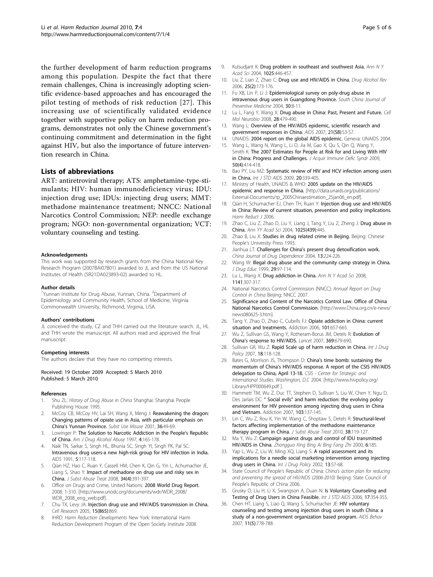<span id="page-4-0"></span>the further development of harm reduction programs among this population. Despite the fact that there remain challenges, China is increasingly adopting scientific evidence-based approaches and has encouraged the pilot testing of methods of risk reduction [27]. This increasing use of scientifically validated evidence together with supportive policy on harm reduction programs, demonstrates not only the Chinese government's continuing commitment and determination in the fight against HIV, but also the importance of future intervention research in China.

## Lists of abbreviations

ART: antiretroviral therapy; ATS: amphetamine-type-stimulants; HIV: human immunodeficiency virus; IDU: injection drug use; IDUs: injecting drug users; MMT: methadone maintenance treatment; NNCC: National Narcotics Control Commission; NEP: needle exchange program; NGO: non-governmental organization; VCT: voluntary counseling and testing.

#### Acknowledgements

This work was supported by research grants from the China National Key Research Program (2007BAI07B01) awarded to JL and from the US National Institutes of Health (5R21DA023893-02) awarded to HL.

#### Author details

<sup>1</sup>Yunnan Institute for Drug Abuse, Yunnan, China. <sup>2</sup>Department of Epidemiology and Community Health, School of Medicine, Virginia Commonwealth University, Richmond, Virginia, USA.

#### Authors' contributions

JL conceived the study, CZ and THH carried out the literature search. JL, HL and THH wrote the manuscript. All authors read and approved the final manuscript.

#### Competing interests

The authors declare that they have no competing interests.

Received: 19 October 2009 Accepted: 5 March 2010 Published: 5 March 2010

#### References

- 1. Shu ZL: History of Drug Abuse in China Shanghai: Shanghai People Publishing House 1995.
- McCoy CB, McCoy HV, Lai SH, Wang X, Meng J: [Reawakening the dragon:](http://www.ncbi.nlm.nih.gov/pubmed/11305354?dopt=Abstract) [Changing patterns of opiate use in Asia, with particular emphasis on](http://www.ncbi.nlm.nih.gov/pubmed/11305354?dopt=Abstract) China'[s Yunnan Province.](http://www.ncbi.nlm.nih.gov/pubmed/11305354?dopt=Abstract) Subst Use Misuse 2001, 36:49-69.
- 3. Lowinger P: The Solution to Narcotic Addiction in the People's Republic of China. Am J Drug Alcohol Abuse 1997, 4:165-178.
- 4. Naik TN, Sarkar S, Singh HL, Bhunia SC, Singh YI, Singh PK, Pal SC: [Intravenous drug users-a new high-risk group for HIV infection in India.](http://www.ncbi.nlm.nih.gov/pubmed/2059356?dopt=Abstract) AIDS 1991, 5:117-118.
- Qian HZ, Hao C, Ruan Y, Cassell HM, Chen K, Qin G, Yin L, Achumacher JE, Liang S, Shao Y: [Impact of methadone on drug use and risky sex in](http://www.ncbi.nlm.nih.gov/pubmed/17869049?dopt=Abstract) [China.](http://www.ncbi.nlm.nih.gov/pubmed/17869049?dopt=Abstract) J Subst Abuse Treat 2008, 34(4):391-397.
- 6. Office on Drugs and Crime, United Nations: 2008 World Drug Report. 2008, 1-310. [\[http://www.unodc.org/documents/wdr/WDR\\_2008/]([http://www.unodc.org/documents/wdr/WDR_2008/WDR_2008_eng_web.pdf]) [WDR\\_2008\\_eng\\_web.pdf\].]([http://www.unodc.org/documents/wdr/WDR_2008/WDR_2008_eng_web.pdf])
- 7. Chu TX, Levy JA: Injection drug use and HIV/AIDS transmission in China. Cell Research 2005, 15(865):869.
- 8. IHRD: Harm Reduction Developments New York: International Harm Reduction Development Program of the Open Society Institute 2008.
- 9. Kulsudiarit K: [Drug problem in southeast and southwest Asia.](http://www.ncbi.nlm.nih.gov/pubmed/15542748?dopt=Abstract) Ann N Y Acad Sci 2004, 1025:446-457.
- 10. Liu Z, Lian Z, Zhao C: [Drug use and HIV/AIDS in China.](http://www.ncbi.nlm.nih.gov/pubmed/16627308?dopt=Abstract) Drug Alcohol Rev 2006, 25(2):173-176.
- 11. Fu XB, Lin P, Li J: Epidemiological survey on poly-drug abuse in intravenous drug users in Guangdong Province. South China Journal of Preventive Medicine 2004, 30:8-11.
- 12. Lu L, Fang Y, Wang X: Drug abuse in China: Past, Present and Future. Cell Mol Neurobio 2008, 28:479-490.
- 13. Wang L: [Overview of the HIV/AIDS epidemic, scientific research and](http://www.ncbi.nlm.nih.gov/pubmed/18172388?dopt=Abstract) [government responses in China.](http://www.ncbi.nlm.nih.gov/pubmed/18172388?dopt=Abstract) AIDS 2007, 21(S8):S3-S7.
- 14. UNAIDS: 2004 report on the global AIDS epidemic. Geneva: UNAIDS 2004.
- 15. Wang L, Wang N, Wang L, Li D, Jia M, Gao X, Qu S, Qin Q, Wang Y, Smith K: [The 2007 Estimates for People at Risk for and Living With HIV](http://www.ncbi.nlm.nih.gov/pubmed/19214116?dopt=Abstract) [in China: Progress and Challenges.](http://www.ncbi.nlm.nih.gov/pubmed/19214116?dopt=Abstract) J Acquir Immune Defic Syndr 2009, 50(4):414-418.
- 16. Bao PY, Liu MZ: [Systematic review of HIV and HCV infection among users](http://www.ncbi.nlm.nih.gov/pubmed/19386972?dopt=Abstract) [in China.](http://www.ncbi.nlm.nih.gov/pubmed/19386972?dopt=Abstract) Int J STD AIDS 2009, 20:339-405.
- 17. Ministry of Health, UNAIDS & WHO: 2005 update on the HIV/AIDS epidemic and response in China. [\[http://data.unaids.org/publications/]( [http://data.unaids.org/publications/External-Documents/rp_2005Chinaestimation_25jan06_en.pdf]) [External-Documents/rp\\_2005Chinaestimation\\_25jan06\\_en.pdf\]]( [http://data.unaids.org/publications/External-Documents/rp_2005Chinaestimation_25jan06_en.pdf]).
- 18. Qian H, Schumacher EJ, Chen TH, Ruan Y: [Injection drug use and HIV/AIDS](http://www.ncbi.nlm.nih.gov/pubmed/16451717?dopt=Abstract) [in China: Review of current situation, prevention and policy implications.](http://www.ncbi.nlm.nih.gov/pubmed/16451717?dopt=Abstract) Harm Reduct J 2006.
- 19. Zhao C, Liu Z, Zhao D, Liu Y, Liang J, Tang Y, Liu Z, Zheng J: Drug abuse in China. Ann YY Acad Sci 2004, 1025(439):445.
- 20. Zhao B, Liu X: Studies in drug related crime in Beijing. Beijing: Chinese People's University Press 1993.
- 21. Jianhua LT: Challenges for China's present drug detoxification work. China Journal of Drug Dependence 2004, 13:224-226.
- 22. Wang W: [Illegal drug abuse and the community camp strategy in China.](http://www.ncbi.nlm.nih.gov/pubmed/10429353?dopt=Abstract) J Drug Educ 1999, 29:97-114.
- 23. Lu L, Wang X: Drug addiction in China. Ann N Y Acad Sci 2008, 1141:307-317.
- 24. National Narcotics Control Commission (NNCC): Annual Report on Drug Control in China Beijing: NNCC 2007.
- 25. Significance and Content of the Narcotics Control Law. Office of China National Narcotics Control Commission. [\[http://www.China.org.cn/e-news/]([http://www.China.org.cn/e-news/news080625-3.htm]) [news080625-3.htm\]]([http://www.China.org.cn/e-news/news080625-3.htm]).
- 26. Tang Y, Zhao D, Zhao C, Cubells FJ: [Opiate addiction in China: current](http://www.ncbi.nlm.nih.gov/pubmed/16669899?dopt=Abstract) [situation and treatments.](http://www.ncbi.nlm.nih.gov/pubmed/16669899?dopt=Abstract) Addiction 2006, 101:657-665.
- 27. Wu Z, Sullivan GS, Wang Y, Rotheram-Borus JM, Detels R: [Evolution of](http://www.ncbi.nlm.nih.gov/pubmed/17321313?dopt=Abstract) China'[s response to HIV/AIDS.](http://www.ncbi.nlm.nih.gov/pubmed/17321313?dopt=Abstract) Lancet 2007, 369:679-690.
- 28. Sullivan GR, Wu Z: [Rapid Scale up of harm reduction in China.](http://www.ncbi.nlm.nih.gov/pubmed/17689354?dopt=Abstract) Int J Drug Policy 2007, 18:118-128.
- 29. Bates G, Morrison JS, Thompson D: China's time bomb: sustaining the momentum of China's HIV/AIDS response. A report of the CSIS HIV/AIDS delegation to China, April 13-18. CSIS - Center for Strategic and International Studies. Washington, D.C 2004. [\[http://www.hivpolicy.org/]([http://www.hivpolicy.org/Library/HPP000649.pdf ]) [Library/HPP000649.pdf \].]([http://www.hivpolicy.org/Library/HPP000649.pdf ])
- 30. Hammett TM, Wu Z, Duc TT, Stephen D, Sullivan S, Liu W, Chen Y, Ngu D, Des Jarlais DC: " Social evils" [and harm reduction: the evolving policy](http://www.ncbi.nlm.nih.gov/pubmed/18028519?dopt=Abstract) [environment for HIV prevention among injecting drug users in China](http://www.ncbi.nlm.nih.gov/pubmed/18028519?dopt=Abstract) [and Vietnam.](http://www.ncbi.nlm.nih.gov/pubmed/18028519?dopt=Abstract) Addiction 2007, 103:137-145.
- 31. Lin C, Wu Z, Rou K, Yin W, Wang C, Shoptaw S, Detels R: [Structural-level](http://www.ncbi.nlm.nih.gov/pubmed/20015606?dopt=Abstract) [factors affecting implementation of the methadone maintenance](http://www.ncbi.nlm.nih.gov/pubmed/20015606?dopt=Abstract) [therapy program in China.](http://www.ncbi.nlm.nih.gov/pubmed/20015606?dopt=Abstract) J Subst Abuse Treat 2010, 38:119-127.
- 32. Ma Y, Wu Z: Campaign against drugs and control of IDU transmitted HIV/AIDS in China. Zhongguo Xing Bing Ai Bing Fang Zhi 2000, 6:185.
- 33. Yap L, Wu Z, Liu W, Ming XQ, Liang S: A rapid assessment and its implications for a needle social marketing intervention among injecting drug users in China. Int J Drug Policy 2002, 13:57-68.
- 34. State Council of People's Republic of China: China's action plan for reducing and preventing the spread of HIV/AIDS (2006-2010) Beijing: State Council of People's Republic of China 2006.
- 35. Grusky O, Liu H, Li X, Swangson A, Duan N: [Is Voluntary Counseling and](http://www.ncbi.nlm.nih.gov/pubmed/16643689?dopt=Abstract) [Testing of Drug Users in China Feasible.](http://www.ncbi.nlm.nih.gov/pubmed/16643689?dopt=Abstract) Int J STD AIDS 2006, 17:354-355.
- 36. Chen HT, Liang S, Liao Q, Wang S, Schumacher JE: [HIV voluntary](http://www.ncbi.nlm.nih.gov/pubmed/17347877?dopt=Abstract) [counseling and testing among injection drug users in south China: a](http://www.ncbi.nlm.nih.gov/pubmed/17347877?dopt=Abstract) [study of a non-government organization based program.](http://www.ncbi.nlm.nih.gov/pubmed/17347877?dopt=Abstract) AIDS Behav 2007, 11(5):778-788.